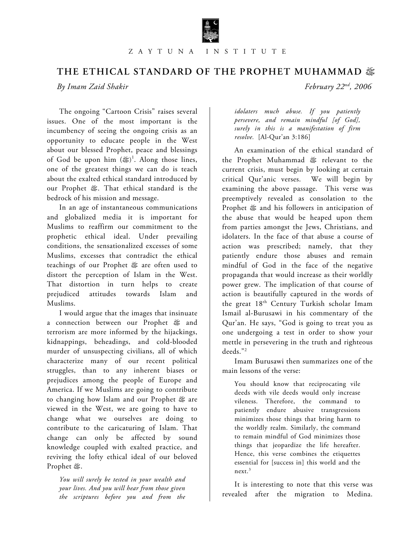

# THE ETHICAL STANDARD OF THE PROPHET MUHAMMAD  $\mathcal{E}$ <br>*By Imam Zaid Shakir February 22<sup>nd</sup>, 2006*

 $Byl$ *Imam Zaid Shakir* 

The ongoing "Cartoon Crisis" raises several issues. One of the most important is the incumbency of seeing the ongoing crisis as an opportunity to educate people in the West about our blessed Prophet, peace and blessings of God be upon him  $(\frac{18}{3})^1$ . Along those lines, one of the greatest things we can do is teach about the exalted ethical standard introduced by our Prophet  $\ddot{\mathfrak{B}}$ . That ethical standard is the bedrock of his mission and message.

In an age of instantaneous communications and globalized media it is important for Muslims to reaffirm our commitment to the prophetic ethical ideal. Under prevailing conditions, the sensationalized excesses of some Muslims, excesses that contradict the ethical teachings of our Prophet œ are often used to distort the perception of Islam in the West. That distortion in turn helps to create prejudiced attitudes towards Islam and Muslims.

I would argue that the images that insinuate a connection between our Prophet & and terrorism are more informed by the hijackings, kidnappings, beheadings, and cold-blooded murder of unsuspecting civilians, all of which characterize many of our recent political struggles, than to any inherent biases or prejudices among the people of Europe and America. If we Muslims are going to contribute to changing how Islam and our Prophet  $\mathcal{F}$  are viewed in the West, we are going to have to change what we ourselves are doing to contribute to the caricaturing of Islam. That change can only be affected by sound knowledge coupled with exalted practice, and reviving the lofty ethical ideal of our beloved Prophet &.

*You will surely be tested in your wealth and your lives. And you will hear from those given the scriptures before you and from the* 

*idolaters much abuse. If you patiently persevere, and remain mindful [of God], surely in this is a manifestation of firm resolve.* [Al-Qur'an 3:186]

An examination of the ethical standard of the Prophet Muhammad œ relevant to the current crisis, must begin by looking at certain critical Qur'anic verses. We will begin by examining the above passage. This verse was preemptively revealed as consolation to the Prophet  $\mathfrak{g}$  and his followers in anticipation of the abuse that would be heaped upon them from parties amongst the Jews, Christians, and idolaters. In the face of that abuse a course of action was prescribed; namely, that they patiently endure those abuses and remain mindful of God in the face of the negative propaganda that would increase as their worldly power grew. The implication of that course of action is beautifully captured in the words of the great 18<sup>th</sup> Century Turkish scholar Imam Ismail al-Burusawi in his commentary of the Qur'an. He says, "God is going to treat you as one undergoing a test in order to show your mettle in persevering in the truth and righteous deeds."2

Imam Burusawi then summarizes one of the main lessons of the verse:

You should know that reciprocating vile deeds with vile deeds would only increase vileness. Therefore, the command to patiently endure abusive transgressions minimizes those things that bring harm to the worldly realm. Similarly, the command to remain mindful of God minimizes those things that jeopardize the life hereafter. Hence, this verse combines the etiquettes essential for [success in] this world and the next.3

It is interesting to note that this verse was revealed after the migration to Medina.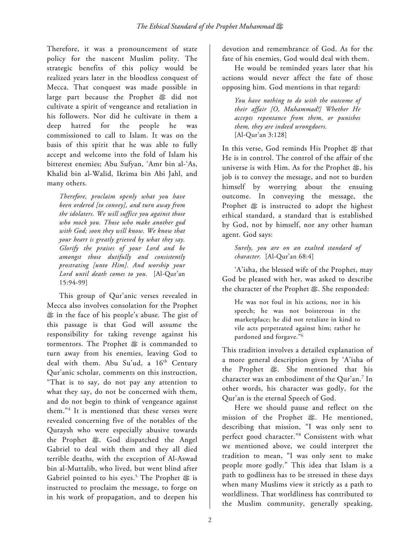Therefore, it was a pronouncement of state policy for the nascent Muslim polity. The strategic benefits of this policy would be realized years later in the bloodless conquest of Mecca. That conquest was made possible in large part because the Prophet œ did not cultivate a spirit of vengeance and retaliation in his followers. Nor did he cultivate in them a deep hatred for the people he was commissioned to call to Islam. It was on the basis of this spirit that he was able to fully accept and welcome into the fold of Islam his bitterest enemies; Abu Sufyan, 'Amr bin al-'As, Khalid bin al-Walid, Ikrima bin Abi Jahl, and many others.

*Therefore, proclaim openly what you have been ordered [to convey], and turn away from the idolaters. We will suffice you against those who mock you. Those who make another god with God; soon they will know. We know that your heart is greatly grieved by what they say. Glorify the praises of your Lord and be amongst those dutifully and consistently prostrating [unto Him]. And worship your Lord until death comes to you.* [Al-Qur'an 15:94-99]

This group of Qur'anic verses revealed in Mecca also involves consolation for the Prophet œ in the face of his people's abuse. The gist of this passage is that God will assume the responsibility for taking revenge against his tormentors. The Prophet œ is commanded to turn away from his enemies, leaving God to deal with them. Abu Su'ud, a 16<sup>th</sup> Century Qur'anic scholar, comments on this instruction, "That is to say, do not pay any attention to what they say, do not be concerned with them, and do not begin to think of vengeance against them."4 It is mentioned that these verses were revealed concerning five of the notables of the Quraysh who were especially abusive towards the Prophet œ. God dispatched the Angel Gabriel to deal with them and they all died terrible deaths, with the exception of Al-Aswad bin al-Muttalib, who lived, but went blind after Gabriel pointed to his eyes.<sup>5</sup> The Prophet  $\mathfrak{G}$  is instructed to proclaim the message, to forge on in his work of propagation, and to deepen his

devotion and remembrance of God. As for the fate of his enemies, God would deal with them.

He would be reminded years later that his actions would never affect the fate of those opposing him. God mentions in that regard:

*You have nothing to do with the outcome of their affair [O, Muhammad!] Whether He accepts repentance from them, or punishes them, they are indeed wrongdoers.*  [Al-Qur'an 3:128]

In this verse, God reminds His Prophet œ that He is in control. The control of the affair of the universe is with Him. As for the Prophet œ, his job is to convey the message, and not to burden himself by worrying about the ensuing outcome. In conveying the message, the Prophet  $\frac{4}{36}$  is instructed to adopt the highest ethical standard, a standard that is established by God, not by himself, nor any other human agent. God says:

*Surely, you are on an exalted standard of character.* [Al-Qur'an 68:4]

'A'isha, the blessed wife of the Prophet, may God be pleased with her, was asked to describe the character of the Prophet  $\mathcal{E}$ . She responded:

He was not foul in his actions, nor in his speech; he was not boisterous in the marketplace; he did not retaliate in kind to vile acts perpetrated against him; rather he pardoned and forgave."6

This tradition involves a detailed explanation of a more general description given by 'A'isha of the Prophet œ. She mentioned that his character was an embodiment of the Qur'an. $^7$  In other words, his character was godly, for the Qur'an is the eternal Speech of God.

Here we should pause and reflect on the mission of the Prophet  $#$ . He mentioned, describing that mission, "I was only sent to perfect good character."8 Consistent with what we mentioned above, we could interpret the tradition to mean, "I was only sent to make people more godly." This idea that Islam is a path to godliness has to be stressed in these days when many Muslims view it strictly as a path to worldliness. That worldliness has contributed to the Muslim community, generally speaking,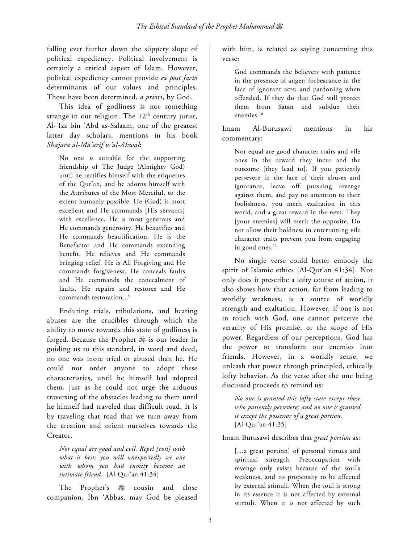falling ever further down the slippery slope of political expediency. Political involvement is certainly a critical aspect of Islam. However, political expediency cannot provide *ex post facto* determinants of our values and principles. Those have been determined, *a priori*, by God.

This idea of godliness is not something strange in our religion. The  $12<sup>th</sup>$  century jurist, Al-'Izz bin 'Abd as-Salaam, one of the greatest latter day scholars, mentions in his book *Shajara al-Ma'arif w'al-Ahwal*:

No one is suitable for the supporting friendship of The Judge (Almighty God) until he rectifies himself with the etiquettes of the Qur'an, and he adorns himself with the Attributes of the Most Merciful, to the extent humanly possible. He (God) is most excellent and He commands [His servants] with excellence. He is most generous and He commands generosity. He beautifies and He commands beautification. He is the Benefactor and He commands extending benefit. He relieves and He commands bringing relief. He is All Forgiving and He commands forgiveness. He conceals faults and He commands the concealment of faults. He repairs and restores and He commands restoration...<sup>9</sup>

Enduring trials, tribulations, and bearing abuses are the crucibles through which the ability to move towards this state of godliness is forged. Because the Prophet œ is our leader in guiding us to this standard, in word and deed, no one was more tried or abused than he. He could not order anyone to adopt these characteristics, until he himself had adopted them, just as he could not urge the arduous traversing of the obstacles leading to them until he himself had traveled that difficult road. It is by traveling that road that we turn away from the creation and orient ourselves towards the Creator.

*Not equal are good and evil. Repel [evil] with what is best; you will unexpectedly see one with whom you had enmity become an intimate friend.* [Al-Qur'an 41:34]

The Prophet's  $\frac{dx}{dx}$  cousin and close companion, Ibn 'Abbas, may God be pleased

with him, is related as saying concerning this verse:

God commands the believers with patience in the presence of anger; forbearance in the face of ignorant acts; and pardoning when offended. If they do that God will protect them from Satan and subdue their enemies.<sup>10</sup>

Imam Al-Burusawi mentions in his commentary:

Not equal are good character traits and vile ones in the reward they incur and the outcome [they lead to]. If you patiently persevere in the face of their abuses and ignorance, leave off pursuing revenge against them, and pay no attention to their foolishness, you merit exaltation in this world, and a great reward in the next. They [your enemies] will merit the opposite. Do not allow their boldness in entertaining vile character traits prevent you from engaging in good ones. $<sup>11</sup>$ </sup>

No single verse could better embody the spirit of Islamic ethics [Al-Qur'an 41:34]. Not only does it prescribe a lofty course of action, it also shows how that action, far from leading to worldly weakness, is a source of worldly strength and exaltation. However, if one is not in touch with God, one cannot perceive the veracity of His promise, or the scope of His power. Regardless of our perceptions, God has the power to transform our enemies into friends. However, in a worldly sense, we unleash that power through principled, ethically lofty behavior. As the verse after the one being discussed proceeds to remind us:

*No one is granted this lofty state except those who patiently persevere; and no one is granted it except the possessor of a great portion.*  [Al-Qur'an 41:35]

Imam Burusawi describes that *great portion* as:

[…a great portion] of personal virtues and spiritual strength. Preoccupation with revenge only exists because of the soul's weakness, and its propensity to be affected by external stimuli. When the soul is strong in its essence it is not affected by external stimuli. When it is not affected by such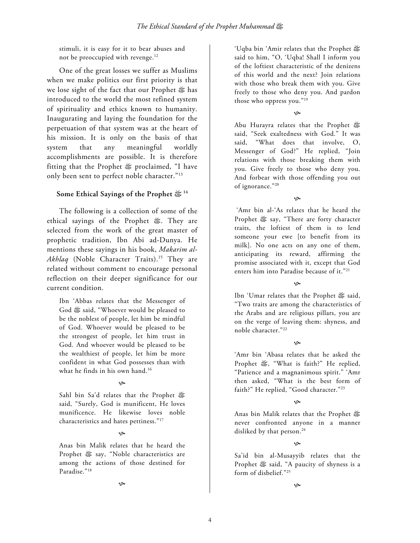stimuli, it is easy for it to bear abuses and not be preoccupied with revenge.<sup>12</sup>

One of the great losses we suffer as Muslims when we make politics our first priority is that we lose sight of the fact that our Prophet œ has introduced to the world the most refined system of spirituality and ethics known to humanity. Inaugurating and laying the foundation for the perpetuation of that system was at the heart of his mission. It is only on the basis of that system that any meaningful worldly accomplishments are possible. It is therefore fitting that the Prophet œ proclaimed, "I have only been sent to perfect noble character."13

## **Some Ethical Sayings of the Prophet** œ**<sup>14</sup>**

The following is a collection of some of the ethical sayings of the Prophet œ. They are selected from the work of the great master of prophetic tradition, Ibn Abi ad-Dunya. He mentions these sayings in his book, *Makarim al-*Akhlaq (Noble Character Traits).<sup>15</sup> They are related without comment to encourage personal reflection on their deeper significance for our current condition.

Ibn 'Abbas relates that the Messenger of God  $$$  said, "Whoever would be pleased to be the noblest of people, let him be mindful of God. Whoever would be pleased to be the strongest of people, let him trust in God. And whoever would be pleased to be the wealthiest of people, let him be more confident in what God possesses than with what he finds in his own hand.<sup>16</sup>

### $\infty$

Sahl bin Sa'd relates that the Prophet œ said, "Surely, God is munificent, He loves munificence. He likewise loves noble characteristics and hates pettiness."17

### K

Anas bin Malik relates that he heard the Prophet œ say, "Noble characteristics are among the actions of those destined for Paradise."18

K

'Uqba bin 'Amir relates that the Prophet  $\mathfrak k$ said to him, "O, 'Uqba! Shall I inform you of the loftiest characteristic of the denizens of this world and the next? Join relations with those who break them with you. Give freely to those who deny you. And pardon those who oppress you."19

ھ

Abu Hurayra relates that the Prophet said, "Seek exaltedness with God." It was said, "What does that involve, O, Messenger of God?" He replied, "Join relations with those breaking them with you. Give freely to those who deny you. And forbear with those offending you out of ignorance."20

 $\infty$ 

 'Amr bin al-'As relates that he heard the Prophet œ say, "There are forty character traits, the loftiest of them is to lend someone your ewe [to benefit from its milk]. No one acts on any one of them, anticipating its reward, affirming the promise associated with it, except that God enters him into Paradise because of it."21

ھ

Ibn 'Umar relates that the Prophet  $\mathfrak{F}$  said, "Two traits are among the characteristics of the Arabs and are religious pillars, you are on the verge of leaving them: shyness, and noble character."22

ھ

'Amr bin 'Abasa relates that he asked the Prophet  $\mathfrak{F}$ , "What is faith?" He replied, "Patience and a magnanimous spirit." 'Amr then asked, "What is the best form of faith?" He replied, "Good character."23

### مي

Anas bin Malik relates that the Prophet  $\mathfrak k$ never confronted anyone in a manner disliked by that person.<sup>24</sup>

ھ

Sa'id bin al-Musayyib relates that the Prophet  $$$  said, "A paucity of shyness is a form of disbelief."25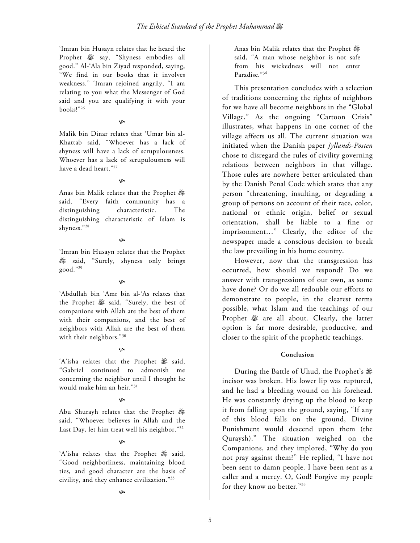'Imran bin Husayn relates that he heard the Prophet œ say, "Shyness embodies all good." Al-'Ala bin Ziyad responded, saying, "We find in our books that it involves weakness." 'Imran rejoined angrily, "I am relating to you what the Messenger of God said and you are qualifying it with your books!"26

#### K

Malik bin Dinar relates that 'Umar bin al-Khattab said, "Whoever has a lack of shyness will have a lack of scrupulousness. Whoever has a lack of scrupulousness will have a dead heart."27

### ھ

Anas bin Malik relates that the Prophet  $\frac{d\mathbb{P}}{d\mathbb{P}}$ said, "Every faith community has a distinguishing characteristic. The distinguishing characteristic of Islam is shyness."28

### $\infty$

'Imran bin Husayn relates that the Prophet said, "Surely, shyness only brings good."29

### $\infty$

'Abdullah bin 'Amr bin al-'As relates that the Prophet œ said, "Surely, the best of companions with Allah are the best of them with their companions, and the best of neighbors with Allah are the best of them with their neighbors."30

## K

'A'isha relates that the Prophet œ said, "Gabriel continued to admonish me concerning the neighbor until I thought he would make him an heir."31

## ھ

Abu Shurayh relates that the Prophet said, "Whoever believes in Allah and the Last Day, let him treat well his neighbor."32

## حي

'A'isha relates that the Prophet & said, "Good neighborliness, maintaining blood ties, and good character are the basis of civility, and they enhance civilization."33

Anas bin Malik relates that the Prophet  $\mathfrak k$ said, "A man whose neighbor is not safe from his wickedness will not enter Paradise."34

This presentation concludes with a selection of traditions concerning the rights of neighbors for we have all become neighbors in the "Global Village." As the ongoing "Cartoon Crisis" illustrates, what happens in one corner of the village affects us all. The current situation was initiated when the Danish paper *Jyllands-Posten* chose to disregard the rules of civility governing relations between neighbors in that village. Those rules are nowhere better articulated than by the Danish Penal Code which states that any person "threatening, insulting, or degrading a group of persons on account of their race, color, national or ethnic origin, belief or sexual orientation, shall be liable to a fine or imprisonment…" Clearly, the editor of the newspaper made a conscious decision to break the law prevailing in his home country.

However, now that the transgression has occurred, how should we respond? Do we answer with transgressions of our own, as some have done? Or do we all redouble our efforts to demonstrate to people, in the clearest terms possible, what Islam and the teachings of our Prophet  $#$  are all about. Clearly, the latter option is far more desirable, productive, and closer to the spirit of the prophetic teachings.

## **Conclusion**

During the Battle of Uhud, the Prophet's œ incisor was broken. His lower lip was ruptured, and he had a bleeding wound on his forehead. He was constantly drying up the blood to keep it from falling upon the ground, saying, "If any of this blood falls on the ground, Divine Punishment would descend upon them (the Quraysh)." The situation weighed on the Companions, and they implored, "Why do you not pray against them?" He replied, "I have not been sent to damn people. I have been sent as a caller and a mercy. O, God! Forgive my people for they know no better."35

حي